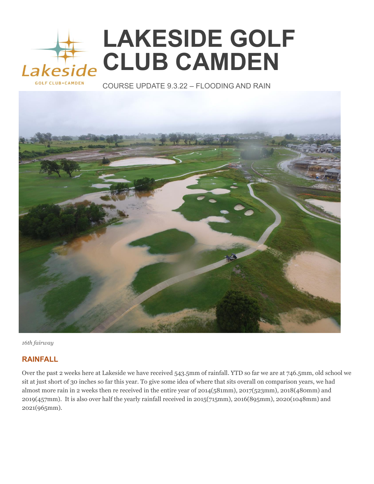## **LAKESIDE GOLF CLUB CAMDEN**  Lakeside

COURSE UPDATE 9.3.22 – FLOODING AND RAIN



*16th fairway* 

## **RAINFALL**

Over the past 2 weeks here at Lakeside we have received 543.5mm of rainfall. YTD so far we are at 746.5mm, old school we sit at just short of 30 inches so far this year. To give some idea of where that sits overall on comparison years, we had almost more rain in 2 weeks then re received in the entire year of 2014(581mm), 2017(523mm), 2018(480mm) and 2019(457mm). It is also over half the yearly rainfall received in 2015(715mm), 2016(895mm), 2020(1048mm) and 2021(965mm).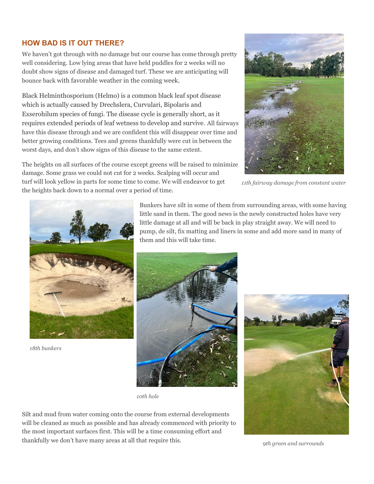## **HOW BAD IS IT OUT THERE?**

We haven't got through with no damage but our course has come through pretty well considering. Low lying areas that have held puddles for 2 weeks will no doubt show signs of disease and damaged turf. These we are anticipating will bounce back with favorable weather in the coming week.

Black Helminthosporium (Helmo) is a common black leaf spot disease which is actually caused by Drechslera, Curvulari, Bipolaris and Exserohilum species of fungi. The disease cycle is generally short, as it requires extended periods of leaf wetness to develop and survive. All fairways have this disease through and we are confident this will disappear over time and better growing conditions. Tees and greens thankfully were cut in between the worst days, and don't show signs of this disease to the same extent.

 *11th fairway damage from constant water* 





*18th bunkers* 

Bunkers have silt in some of them from surrounding areas, with some having little sand in them. The good news is the newly constructed holes have very little damage at all and will be back in play straight away. We will need to pump, de silt, fix matting and liners in some and add more sand in many of them and this will take time.





Silt and mud from water coming onto the course from external developments will be cleaned as much as possible and has already commenced with priority to the most important surfaces first. This will be a time consuming effort and thankfully we don't have many areas at all that require this.



 *9th green and surrounds*